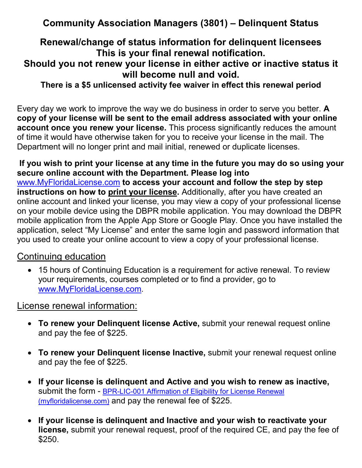# **Community Association Managers (3801) – Delinquent Status**

# **Renewal/change of status information for delinquent licensees This is your final renewal notification.**

# **Should you not renew your license in either active or inactive status it will become null and void.**

**There is a \$5 unlicensed activity fee waiver in effect this renewal period**

Every day we work to improve the way we do business in order to serve you better. **A copy of your license will be sent to the email address associated with your online account once you renew your license.** This process significantly reduces the amount of time it would have otherwise taken for you to receive your license in the mail. The Department will no longer print and mail initial, renewed or duplicate licenses.

#### **If you wish to print your license at any time in the future you may do so using your secure online account with the Department. Please log into**  [www.MyFloridaLicense.com](http://www.myfloridalicense.com/) **to access your account and follow the step by step**

**instructions on how to print your license.** Additionally, after you have created an online account and linked your license, you may view a copy of your professional license on your mobile device using the DBPR mobile application. You may download the DBPR mobile application from the Apple App Store or Google Play. Once you have installed the application, select "My License" and enter the same login and password information that you used to create your online account to view a copy of your professional license.

### Continuing education

• 15 hours of Continuing Education is a requirement for active renewal. To review your requirements, courses completed or to find a provider, go to [www.MyFloridaLicense.com.](http://www.myfloridalicense.com/)

### License renewal information:

- **To renew your Delinquent license Active,** submit your renewal request online and pay the fee of \$225.
- **To renew your Delinquent license Inactive,** submit your renewal request online and pay the fee of \$225.
- **If your license is delinquent and Active and you wish to renew as inactive,**  submit the form - BPR-LIC-001 Affirmation of Eligibility for License Renewal [\(myfloridalicense.com\)](http://www.myfloridalicense.com/dbpr/pro/documents/LIC001_Affirmation_of_Eligibility_for_License_Renewal.pdf) and pay the renewal fee of \$225.
- **If your license is delinquent and Inactive and your wish to reactivate your license,** submit your renewal request, proof of the required CE, and pay the fee of \$250.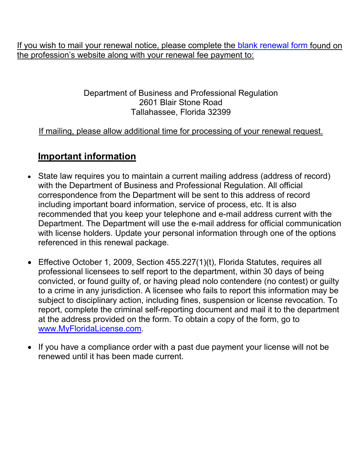If you wish to mail your renewal notice, please complete the [blank renewal form](http://www.myfloridalicense.com/dbpr/pro/documents/LIC001_Affirmation_of_Eligibility_for_License_Renewal.pdf) found on the profession's website along with your renewal fee payment to:

#### Department of Business and Professional Regulation 2601 Blair Stone Road Tallahassee, Florida 32399

### If mailing, please allow additional time for processing of your renewal request.

# **Important information**

- State law requires you to maintain a current mailing address (address of record) with the Department of Business and Professional Regulation. All official correspondence from the Department will be sent to this address of record including important board information, service of process, etc. It is also recommended that you keep your telephone and e-mail address current with the Department. The Department will use the e-mail address for official communication with license holders. Update your personal information through one of the options referenced in this renewal package.
- Effective October 1, 2009, Section 455.227(1)(t), Florida Statutes, requires all professional licensees to self report to the department, within 30 days of being convicted, or found guilty of, or having plead nolo contendere (no contest) or guilty to a crime in any jurisdiction. A licensee who fails to report this information may be subject to disciplinary action, including fines, suspension or license revocation. To report, complete the criminal self-reporting document and mail it to the department at the address provided on the form. To obtain a copy of the form, go to [www.MyFloridaLicense.com.](http://www.myfloridalicense.com/)
- If you have a compliance order with a past due payment your license will not be renewed until it has been made current.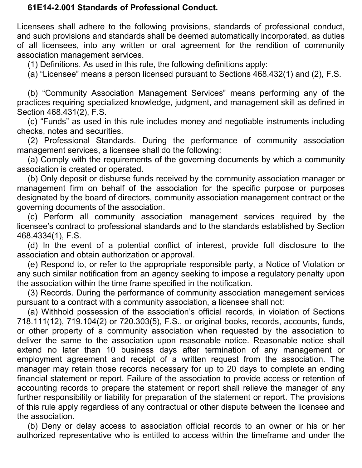#### **61E14-2.001 Standards of Professional Conduct.**

Licensees shall adhere to the following provisions, standards of professional conduct, and such provisions and standards shall be deemed automatically incorporated, as duties of all licensees, into any written or oral agreement for the rendition of community association management services.

(1) Definitions. As used in this rule, the following definitions apply:

(a) "Licensee" means a person licensed pursuant to Sections 468.432(1) and (2), F.S.

(b) "Community Association Management Services" means performing any of the practices requiring specialized knowledge, judgment, and management skill as defined in Section 468.431(2), F.S.

(c) "Funds" as used in this rule includes money and negotiable instruments including checks, notes and securities.

(2) Professional Standards. During the performance of community association management services, a licensee shall do the following:

(a) Comply with the requirements of the governing documents by which a community association is created or operated.

(b) Only deposit or disburse funds received by the community association manager or management firm on behalf of the association for the specific purpose or purposes designated by the board of directors, community association management contract or the governing documents of the association.

(c) Perform all community association management services required by the licensee's contract to professional standards and to the standards established by Section 468.4334(1), F.S.

(d) In the event of a potential conflict of interest, provide full disclosure to the association and obtain authorization or approval.

(e) Respond to, or refer to the appropriate responsible party, a Notice of Violation or any such similar notification from an agency seeking to impose a regulatory penalty upon the association within the time frame specified in the notification.

(3) Records. During the performance of community association management services pursuant to a contract with a community association, a licensee shall not:

(a) Withhold possession of the association's official records, in violation of Sections 718.111(12), 719.104(2) or 720.303(5), F.S., or original books, records, accounts, funds, or other property of a community association when requested by the association to deliver the same to the association upon reasonable notice. Reasonable notice shall extend no later than 10 business days after termination of any management or employment agreement and receipt of a written request from the association. The manager may retain those records necessary for up to 20 days to complete an ending financial statement or report. Failure of the association to provide access or retention of accounting records to prepare the statement or report shall relieve the manager of any further responsibility or liability for preparation of the statement or report. The provisions of this rule apply regardless of any contractual or other dispute between the licensee and the association.

(b) Deny or delay access to association official records to an owner or his or her authorized representative who is entitled to access within the timeframe and under the